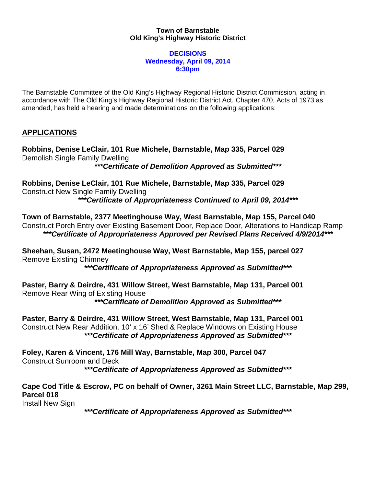## **Town of Barnstable Old King's Highway Historic District**

## **DECISIONS Wednesday, April 09, 2014 6:30pm**

The Barnstable Committee of the Old King's Highway Regional Historic District Commission, acting in accordance with The Old King's Highway Regional Historic District Act, Chapter 470, Acts of 1973 as amended, has held a hearing and made determinations on the following applications:

## **APPLICATIONS**

**Robbins, Denise LeClair, 101 Rue Michele, Barnstable, Map 335, Parcel 029** Demolish Single Family Dwelling *\*\*\*Certificate of Demolition Approved as Submitted\*\*\**

**Robbins, Denise LeClair, 101 Rue Michele, Barnstable, Map 335, Parcel 029** Construct New Single Family Dwelling *\*\*\*Certificate of Appropriateness Continued to April 09, 2014\*\*\**

**Town of Barnstable, 2377 Meetinghouse Way, West Barnstable, Map 155, Parcel 040** Construct Porch Entry over Existing Basement Door, Replace Door, Alterations to Handicap Ramp *\*\*\*Certificate of Appropriateness Approved per Revised Plans Received 4/9/2014\*\*\**

**Sheehan, Susan, 2472 Meetinghouse Way, West Barnstable, Map 155, parcel 027** Remove Existing Chimney

*\*\*\*Certificate of Appropriateness Approved as Submitted\*\*\**

**Paster, Barry & Deirdre, 431 Willow Street, West Barnstable, Map 131, Parcel 001** Remove Rear Wing of Existing House *\*\*\*Certificate of Demolition Approved as Submitted\*\*\**

**Paster, Barry & Deirdre, 431 Willow Street, West Barnstable, Map 131, Parcel 001** Construct New Rear Addition, 10' x 16' Shed & Replace Windows on Existing House *\*\*\*Certificate of Appropriateness Approved as Submitted\*\*\**

**Foley, Karen & Vincent, 176 Mill Way, Barnstable, Map 300, Parcel 047**  Construct Sunroom and Deck *\*\*\*Certificate of Appropriateness Approved as Submitted\*\*\**

**Cape Cod Title & Escrow, PC on behalf of Owner, 3261 Main Street LLC, Barnstable, Map 299, Parcel 018**

Install New Sign

*\*\*\*Certificate of Appropriateness Approved as Submitted\*\*\**